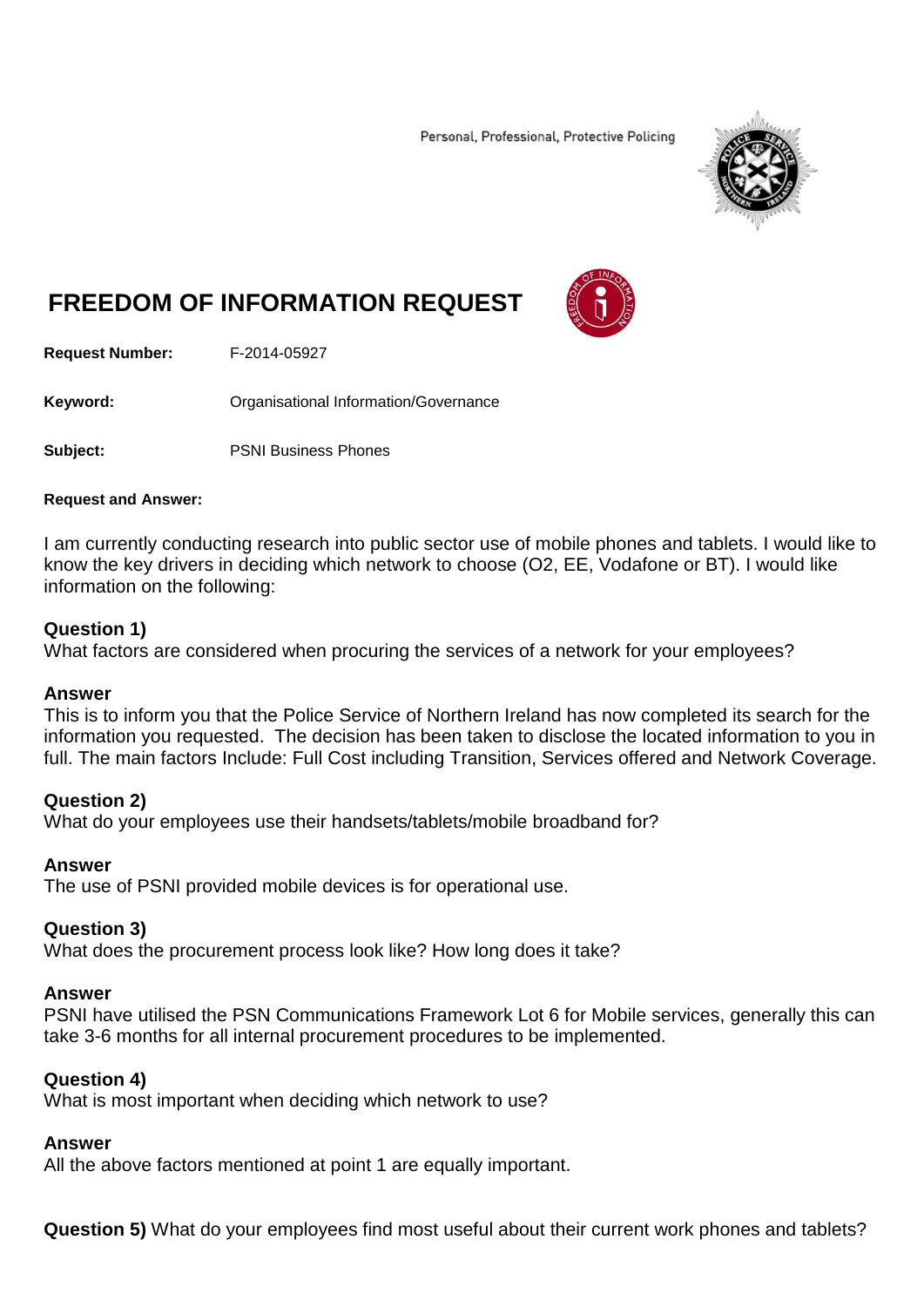Personal, Professional, Protective Policing



# **FREEDOM OF INFORMATION REQUEST**



**Request Number:** F-2014-05927

**Keyword:** Crganisational Information/Governance

**Subject:** PSNI Business Phones

#### **Request and Answer:**

I am currently conducting research into public sector use of mobile phones and tablets. I would like to know the key drivers in deciding which network to choose (O2, EE, Vodafone or BT). I would like information on the following:

## **Question 1)**

What factors are considered when procuring the services of a network for your employees?

## **Answer**

This is to inform you that the Police Service of Northern Ireland has now completed its search for the information you requested. The decision has been taken to disclose the located information to you in full. The main factors Include: Full Cost including Transition, Services offered and Network Coverage.

## **Question 2)**

What do your employees use their handsets/tablets/mobile broadband for?

## **Answer**

The use of PSNI provided mobile devices is for operational use.

## **Question 3)**

What does the procurement process look like? How long does it take?

#### **Answer**

PSNI have utilised the PSN Communications Framework Lot 6 for Mobile services, generally this can take 3-6 months for all internal procurement procedures to be implemented.

## **Question 4)**

What is most important when deciding which network to use?

## **Answer**

All the above factors mentioned at point 1 are equally important.

**Question 5)** What do your employees find most useful about their current work phones and tablets?